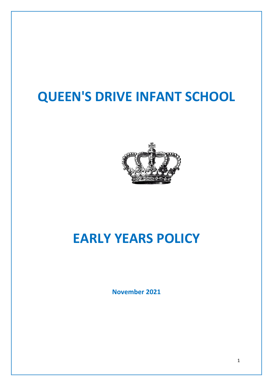# **QUEEN'S DRIVE INFANT SCHOOL**



# **EARLY YEARS POLICY**

**November 2021**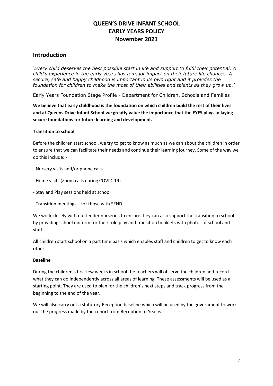### **QUEEN'S DRIVE INFANT SCHOOL EARLY YEARS POLICY November 2021**

### **Introduction**

*'Every child deserves the best possible start in life and support to fulfil their potential. A child's experience in the early years has a major impact on their future life chances. A secure, safe and happy childhood is important in its own right and it provides the foundation for children to make the most of their abilities and talents as they grow up.'*

Early Years Foundation Stage Profile - Department for Children, Schools and Families

**We believe that early childhood is the foundation on which children build the rest of their lives and at Queens Drive Infant School we greatly value the importance that the EYFS plays in laying secure foundations for future learning and development.**

#### **Transition to school**

Before the children start school, we try to get to know as much as we can about the children in order to ensure that we can facilitate their needs and continue their learning journey. Some of the way we do this include: -

- Nursery visits and/or phone calls
- Home visits (Zoom calls during COVID-19)
- Stay and Play sessions held at school
- Transition meetings for those with SEND

We work closely with our feeder nurseries to ensure they can also support the transition to school by providing school uniform for their role play and transition booklets with photos of school and staff.

All children start school on a part time basis which enables staff and children to get to know each other.

#### **Baseline**

During the children's first few weeks in school the teachers will observe the children and record what they can do independently across all areas of learning. These assessments will be used as a starting point. They are used to plan for the children's next steps and track progress from the beginning to the end of the year.

We will also carry out a statutory Reception baseline which will be used by the government to work out the progress made by the cohort from Reception to Year 6.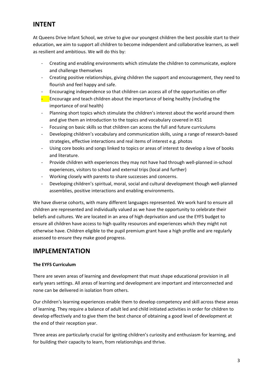## **INTENT**

At Queens Drive Infant School, we strive to give our youngest children the best possible start to their education, we aim to support all children to become independent and collaborative learners, as well as resilient and ambitious. We will do this by:

- Creating and enabling environments which stimulate the children to communicate, explore and challenge themselves
- Creating positive relationships, giving children the support and encouragement, they need to flourish and feel happy and safe.
- Encouraging independence so that children can access all of the opportunities on offer
- $\blacksquare$  Encourage and teach children about the importance of being healthy (including the importance of oral health)
- Planning short topics which stimulate the children's interest about the world around them and give them an introduction to the topics and vocabulary covered in KS1
- Focusing on basic skills so that children can access the full and future curriculums
- Developing children's vocabulary and communication skills, using a range of research-based strategies, effective interactions and real items of interest e.g. photos
- Using core books and songs linked to topics or areas of interest to develop a love of books and literature.
- Provide children with experiences they may not have had through well-planned in-school experiences, visitors to school and external trips (local and further)
- Working closely with parents to share successes and concerns.
- Developing children's spiritual, moral, social and cultural development though well-planned assemblies, positive interactions and enabling environments.

We have diverse cohorts, with many different languages represented. We work hard to ensure all children are represented and individually valued as we have the opportunity to celebrate their beliefs and cultures. We are located in an area of high deprivation and use the EYFS budget to ensure all children have access to high quality resources and experiences which they might not otherwise have. Children eligible to the pupil premium grant have a high profile and are regularly assessed to ensure they make good progress.

## **IMPLEMENTATION**

#### **The EYFS Curriculum**

There are seven areas of learning and development that must shape educational provision in all early years settings. All areas of learning and development are important and interconnected and none can be delivered in isolation from others.

Our children's learning experiences enable them to develop competency and skill across these areas of learning. They require a balance of adult led and child initiated activities in order for children to develop effectively and to give them the best chance of obtaining a good level of development at the end of their reception year.

Three areas are particularly crucial for igniting children's curiosity and enthusiasm for learning, and for building their capacity to learn, from relationships and thrive.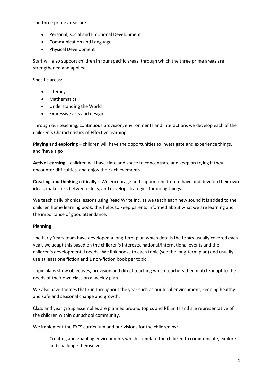The three prime areas are:

- Personal, social and Emotional Development
- Communication and Language
- Physical Development

Staff will also support children in four specific areas, through which the three prime areas are strengthened and applied.

Specific areas:

- Literacy
- Mathematics
- Understanding the World
- Expressive arts and design

Through our teaching, continuous provision, environments and interactions we develop each of the children's Characteristics of Effective learning:

**Playing and exploring** – children will have the opportunities to investigate and experience things, and 'have a go

**Active Learning** – children will have time and space to concentrate and keep on trying if they encounter difficulties, and enjoy their achievements.

**Creating and thinking critically** – We encourage and support children to have and develop their own ideas, make links between ideas, and develop strategies for doing things.

We teach daily phonics lessons using Read Write Inc. as we teach each new sound it is added to the children home learning book, this helps to keep parents informed about what we are learning and the importance of good attendance.

#### **Planning**

The Early Years team have developed a long-term plan which details the topics usually covered each year, we adapt this based on the children's interests, national/international events and the children's developmental needs. We link books to each topic (see the long-term plan) and usually use at least one fiction and 1 non-fiction book per topic.

Topic plans show objectives, provision and direct teaching which teachers then match/adapt to the needs of their own class on a weekly plan.

We also have themes that run throughout the year such as our local environment, keeping healthy and safe and seasonal change and growth.

Class and year group assemblies are planned around topics and RE units and are representative of the children within our school community.

We implement the EYFS curriculum and our visions for the children by: -

- Creating and enabling environments which stimulate the children to communicate, explore and challenge themselves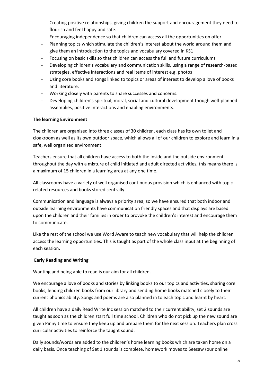- Creating positive relationships, giving children the support and encouragement they need to flourish and feel happy and safe.
- Encouraging independence so that children can access all the opportunities on offer
- Planning topics which stimulate the children's interest about the world around them and give them an introduction to the topics and vocabulary covered in KS1
- Focusing on basic skills so that children can access the full and future curriculums
- Developing children's vocabulary and communication skills, using a range of research-based strategies, effective interactions and real items of interest e.g. photos
- Using core books and songs linked to topics or areas of interest to develop a love of books and literature.
- Working closely with parents to share successes and concerns.
- Developing children's spiritual, moral, social and cultural development though well-planned assemblies, positive interactions and enabling environments.

#### **The learning Environment**

The children are organised into three classes of 30 children, each class has its own toilet and cloakroom as well as its own outdoor space, which allows all of our children to explore and learn in a safe, well organised environment.

Teachers ensure that all children have access to both the inside and the outside environment throughout the day with a mixture of child initiated and adult directed activities, this means there is a maximum of 15 children in a learning area at any one time.

All classrooms have a variety of well organised continuous provision which is enhanced with topic related resources and books stored centrally.

Communication and language is always a priority area, so we have ensured that both indoor and outside learning environments have communication friendly spaces and that displays are based upon the children and their families in order to provoke the children's interest and encourage them to communicate.

Like the rest of the school we use Word Aware to teach new vocabulary that will help the children access the learning opportunities. This is taught as part of the whole class input at the beginning of each session.

#### **Early Reading and Writing**

Wanting and being able to read is our aim for all children.

We encourage a love of books and stories by linking books to our topics and activities, sharing core books, lending children books from our library and sending home books matched closely to their current phonics ability. Songs and poems are also planned in to each topic and learnt by heart.

All children have a daily Read Write Inc session matched to their current ability, set 2 sounds are taught as soon as the children start full time school. Children who do not pick up the new sound are given Pinny time to ensure they keep up and prepare them for the next session. Teachers plan cross curricular activities to reinforce the taught sound.

Daily sounds/words are added to the children's home learning books which are taken home on a daily basis. Once teaching of Set 1 sounds is complete, homework moves to Seesaw (our online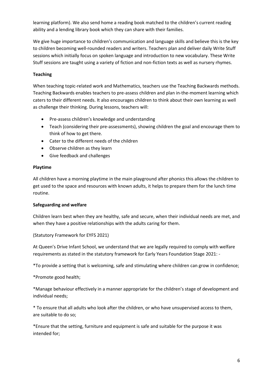learning platform). We also send home a reading book matched to the children's current reading ability and a lending library book which they can share with their families.

We give huge importance to children's communication and language skills and believe this is the key to children becoming well-rounded readers and writers. Teachers plan and deliver daily Write Stuff sessions which initially focus on spoken language and introduction to new vocabulary. These Write Stuff sessions are taught using a variety of fiction and non-fiction texts as well as nursery rhymes.

#### **Teaching**

When teaching topic-related work and Mathematics, teachers use the Teaching Backwards methods. Teaching Backwards enables teachers to pre-assess children and plan in-the-moment learning which caters to their different needs. It also encourages children to think about their own learning as well as challenge their thinking. During lessons, teachers will:

- Pre-assess children's knowledge and understanding
- Teach (considering their pre-assessments), showing children the goal and encourage them to think of how to get there.
- Cater to the different needs of the children
- Observe children as they learn
- Give feedback and challenges

#### **Playtime**

All children have a morning playtime in the main playground after phonics this allows the children to get used to the space and resources with known adults, it helps to prepare them for the lunch time routine.

#### **Safeguarding and welfare**

Children learn best when they are healthy, safe and secure, when their individual needs are met, and when they have a positive relationships with the adults caring for them.

(Statutory Framework for EYFS 2021)

At Queen's Drive Infant School, we understand that we are legally required to comply with welfare requirements as stated in the statutory framework for Early Years Foundation Stage 2021: -

\*To provide a setting that is welcoming, safe and stimulating where children can grow in confidence;

\*Promote good health;

\*Manage behaviour effectively in a manner appropriate for the children's stage of development and individual needs;

\* To ensure that all adults who look after the children, or who have unsupervised access to them, are suitable to do so;

\*Ensure that the setting, furniture and equipment is safe and suitable for the purpose it was intended for;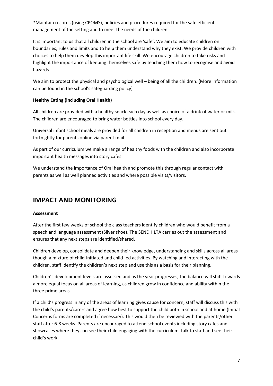\*Maintain records (using CPOMS), policies and procedures required for the safe efficient management of the setting and to meet the needs of the children

It is important to us that all children in the school are 'safe'. We aim to educate children on boundaries, rules and limits and to help them understand why they exist. We provide children with choices to help them develop this important life skill. We encourage children to take risks and highlight the importance of keeping themselves safe by teaching them how to recognise and avoid hazards.

We aim to protect the physical and psychological well – being of all the children. (More information can be found in the school's safeguarding policy)

#### **Healthy Eating (including Oral Health)**

All children are provided with a healthy snack each day as well as choice of a drink of water or milk. The children are encouraged to bring water bottles into school every day.

Universal infant school meals are provided for all children in reception and menus are sent out fortnightly for parents online via parent mail.

As part of our curriculum we make a range of healthy foods with the children and also incorporate important health messages into story cafes.

We understand the importance of Oral health and promote this through regular contact with parents as well as well planned activities and where possible visits/visitors.

## **IMPACT AND MONITORING**

#### **Assessment**

After the first few weeks of school the class teachers identify children who would benefit from a speech and language assessment (Silver shoe). The SEND HLTA carries out the assessment and ensures that any next steps are identified/shared.

Children develop, consolidate and deepen their knowledge, understanding and skills across all areas though a mixture of child-initiated and child-led activities. By watching and interacting with the children, staff identify the children's next step and use this as a basis for their planning.

Children's development levels are assessed and as the year progresses, the balance will shift towards a more equal focus on all areas of learning, as children grow in confidence and ability within the three prime areas.

If a child's progress in any of the areas of learning gives cause for concern, staff will discuss this with the child's parents/carers and agree how best to support the child both in school and at home (Initial Concerns forms are completed if necessary). This would then be reviewed with the parents/other staff after 6-8 weeks. Parents are encouraged to attend school events including story cafes and showcases where they can see their child engaging with the curriculum, talk to staff and see their child's work.